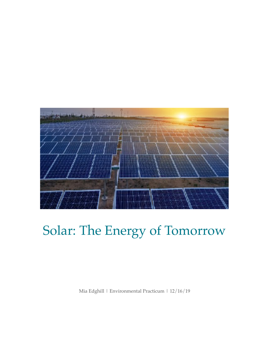

# Solar: The Energy of Tomorrow

Mia Edghill | Environmental Practicum | 12/16/19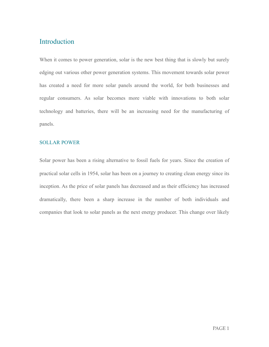## Introduction

When it comes to power generation, solar is the new best thing that is slowly but surely edging out various other power generation systems. This movement towards solar power has created a need for more solar panels around the world, for both businesses and regular consumers. As solar becomes more viable with innovations to both solar technology and batteries, there will be an increasing need for the manufacturing of panels.

### SOLLAR POWER

Solar power has been a rising alternative to fossil fuels for years. Since the creation of practical solar cells in 1954, solar has been on a journey to creating clean energy since its inception. As the price of solar panels has decreased and as their efficiency has increased dramatically, there been a sharp increase in the number of both individuals and companies that look to solar panels as the next energy producer. This change over likely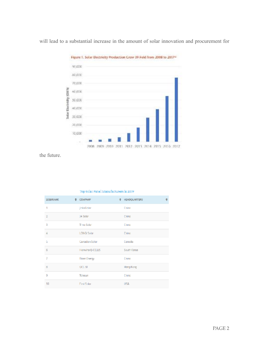

will lead to a substantial increase in the amount of solar innovation and procurement for

the future.

| 2019 RANK | # COMPANY         | <b><i>A HEADQUARTERS</i></b> |  |
|-----------|-------------------|------------------------------|--|
| 1         | <b>JinkaGolar</b> | Chino                        |  |
| z         | LA Sellon         | Ching                        |  |
| ŝ         | Timo Salon        | Chino                        |  |
| ٨         | LONGI Solar       | Chino                        |  |
| 5         | Canadian Solar    | Canada                       |  |
| 6         | Howha Q-CELLS     | South Korea                  |  |
| 7         | Riser-Esergy      | Chino                        |  |
| 8         | GCL-SI            | Hong Kong                    |  |
| 9         | Tolesun           | Ching                        |  |
| 10        | First Solar       | 日記島                          |  |

#### Top Solar Panel Manufacturers in 2019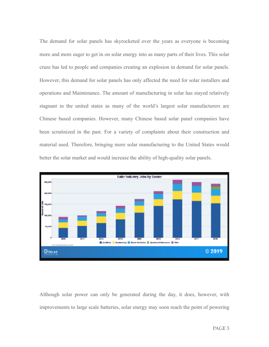The demand for solar panels has skyrocketed over the years as everyone is becoming more and more eager to get in on solar energy into as many parts of their lives. This solar craze has led to people and companies creating an explosion in demand for solar panels. However, this demand for solar panels has only affected the need for solar installers and operations and Maintenance. The amount of manufacturing in solar has stayed relatively stagnant in the united states as many of the world's largest solar manufacturers are Chinese based companies. However, many Chinese based solar panel companies have been scrutinized in the past. For a variety of complaints about their construction and material used. Therefore, bringing more solar manufacturing to the United States would better the solar market and would increase the ability of high-quality solar panels.



Although solar power can only be generated during the day, it does, however, with improvements to large scale batteries, solar energy may soon reach the point of powering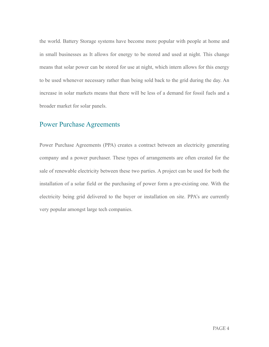the world. Battery Storage systems have become more popular with people at home and in small businesses as It allows for energy to be stored and used at night. This change means that solar power can be stored for use at night, which intern allows for this energy to be used whenever necessary rather than being sold back to the grid during the day. An increase in solar markets means that there will be less of a demand for fossil fuels and a broader market for solar panels.

## Power Purchase Agreements

Power Purchase Agreements (PPA) creates a contract between an electricity generating company and a power purchaser. These types of arrangements are often created for the sale of renewable electricity between these two parties. A project can be used for both the installation of a solar field or the purchasing of power form a pre-existing one. With the electricity being grid delivered to the buyer or installation on site. PPA's are currently very popular amongst large tech companies.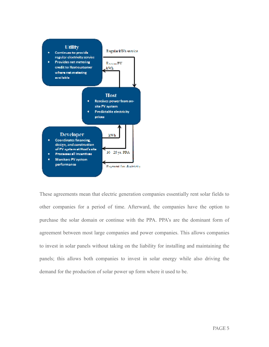

These agreements mean that electric generation companies essentially rent solar fields to other companies for a period of time. Afterward, the companies have the option to purchase the solar domain or continue with the PPA. PPA's are the dominant form of agreement between most large companies and power companies. This allows companies to invest in solar panels without taking on the liability for installing and maintaining the panels; this allows both companies to invest in solar energy while also driving the demand for the production of solar power up form where it used to be.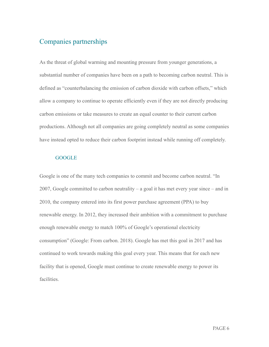## Companies partnerships

As the threat of global warming and mounting pressure from younger generations, a substantial number of companies have been on a path to becoming carbon neutral. This is defined as "counterbalancing the emission of carbon dioxide with carbon offsets," which allow a company to continue to operate efficiently even if they are not directly producing carbon emissions or take measures to create an equal counter to their current carbon productions. Although not all companies are going completely neutral as some companies have instead opted to reduce their carbon footprint instead while running off completely.

#### **GOOGLE**

Google is one of the many tech companies to commit and become carbon neutral. "In 2007, Google committed to carbon neutrality – a goal it has met every year since – and in 2010, the company entered into its first power purchase agreement (PPA) to buy renewable energy. In 2012, they increased their ambition with a commitment to purchase enough renewable energy to match 100% of Google's operational electricity consumption" (Google: From carbon. 2018). Google has met this goal in 2017 and has continued to work towards making this goal every year. This means that for each new facility that is opened, Google must continue to create renewable energy to power its facilities.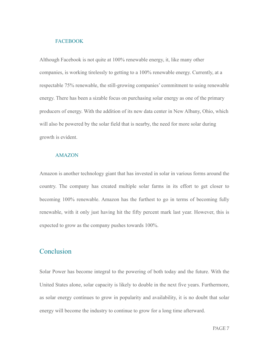#### **FACEBOOK**

Although Facebook is not quite at 100% renewable energy, it, like many other companies, is working tirelessly to getting to a 100% renewable energy. Currently, at a respectable 75% renewable, the still-growing companies' commitment to using renewable energy. There has been a sizable focus on purchasing solar energy as one of the primary producers of energy. With the addition of its new data center in New Albany, Ohio, which will also be powered by the solar field that is nearby, the need for more solar during growth is evident.

#### AMAZON

Amazon is another technology giant that has invested in solar in various forms around the country. The company has created multiple solar farms in its effort to get closer to becoming 100% renewable. Amazon has the furthest to go in terms of becoming fully renewable, with it only just having hit the fifty percent mark last year. However, this is expected to grow as the company pushes towards 100%.

## Conclusion

Solar Power has become integral to the powering of both today and the future. With the United States alone, solar capacity is likely to double in the next five years. Furthermore, as solar energy continues to grow in popularity and availability, it is no doubt that solar energy will become the industry to continue to grow for a long time afterward.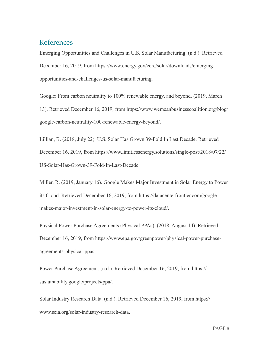## References

Emerging Opportunities and Challenges in U.S. Solar Manufacturing. (n.d.). Retrieved December 16, 2019, from https://www.energy.gov/eere/solar/downloads/emergingopportunities-and-challenges-us-solar-manufacturing.

Google: From carbon neutrality to 100% renewable energy, and beyond. (2019, March 13). Retrieved December 16, 2019, from https://www.wemeanbusinesscoalition.org/blog/ google-carbon-neutrality-100-renewable-energy-beyond/.

Lillian, B. (2018, July 22). U.S. Solar Has Grown 39-Fold In Last Decade. Retrieved December 16, 2019, from https://www.limitlessenergy.solutions/single-post/2018/07/22/ US-Solar-Has-Grown-39-Fold-In-Last-Decade.

Miller, R. (2019, January 16). Google Makes Major Investment in Solar Energy to Power its Cloud. Retrieved December 16, 2019, from https://datacenterfrontier.com/googlemakes-major-investment-in-solar-energy-to-power-its-cloud/.

Physical Power Purchase Agreements (Physical PPAs). (2018, August 14). Retrieved December 16, 2019, from https://www.epa.gov/greenpower/physical-power-purchaseagreements-physical-ppas.

Power Purchase Agreement. (n.d.). Retrieved December 16, 2019, from https:// sustainability.google/projects/ppa/.

Solar Industry Research Data. (n.d.). Retrieved December 16, 2019, from https:// www.seia.org/solar-industry-research-data.